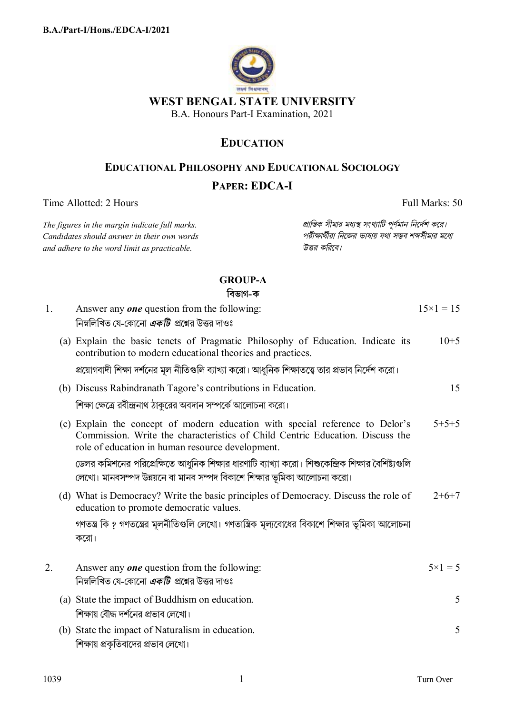

# **EDUCATION**

### **EDUCATIONAL PHILOSOPHY AND EDUCATIONAL SOCIOLOGY**

## PAPER: EDCA-I

Time Allotted: 2 Hours

The figures in the margin indicate full marks. Candidates should answer in their own words and adhere to the word limit as practicable.

প্রান্তিক সীমার মধ্যস্থ সংখ্যাটি পূর্ণমান নির্দেশ করে। পরীক্ষার্থীরা নিজের ভাষায় যথা সম্ভব শব্দসীমার মধ্যে উত্তর করিবে।

Full Marks: 50

## **GROUP-A**

বিভাগ-ক

| 1. | Answer any <b>one</b> question from the following:<br>নিম্নলিখিত যে-কোনো <i>একটি প্র</i> শ্নের উত্তর দাওঃ                                                                                                          | $15 \times 1 = 15$ |
|----|--------------------------------------------------------------------------------------------------------------------------------------------------------------------------------------------------------------------|--------------------|
|    | (a) Explain the basic tenets of Pragmatic Philosophy of Education. Indicate its<br>contribution to modern educational theories and practices.                                                                      | $10+5$             |
|    | প্রয়োগবাদী শিক্ষা দর্শনের মূল নীতিগুলি ব্যাখ্যা করো। আধুনিক শিক্ষাতত্ত্বে তার প্রভাব নির্দেশ করো।                                                                                                                 |                    |
|    | (b) Discuss Rabindranath Tagore's contributions in Education.                                                                                                                                                      | 15                 |
|    | শিক্ষা ক্ষেত্রে রবীন্দ্রনাথ ঠাকুরের অবদান সম্পর্কে আলোচনা করো।                                                                                                                                                     |                    |
|    | (c) Explain the concept of modern education with special reference to Delor's<br>Commission. Write the characteristics of Child Centric Education. Discuss the<br>role of education in human resource development. | $5+5+5$            |
|    | ডেলর কমিশনের পরিপ্রেক্ষিতে আধুনিক শিক্ষার ধারণাটি ব্যাখ্যা করো। শিশুকেন্দ্রিক শিক্ষার বৈশিষ্ট্যগুলি<br>লেখো। মানবসম্পদ উন্নয়নে বা মানব সম্পদ বিকাশে শিক্ষার ভূমিকা আলোচনা করো।                                    |                    |
|    | (d) What is Democracy? Write the basic principles of Democracy. Discuss the role of<br>education to promote democratic values.                                                                                     | $2+6+7$            |
|    | গণতন্ত্র কি ? গণতন্ত্রের মূলনীতিগুলি লেখো। গণতান্ত্রিক মূল্যবোধের বিকাশে শিক্ষার ভূমিকা আলোচনা<br>করো।                                                                                                             |                    |
| 2. | Answer any <b>one</b> question from the following:<br>নিম্নলিখিত যে-কোনো <i>একটি প্র</i> শ্নের উত্তর দাওঃ                                                                                                          | $5 \times 1 = 5$   |
|    | (a) State the impact of Buddhism on education.<br>শিক্ষায় বৌদ্ধ দর্শনের প্রভাব লেখো।                                                                                                                              | 5                  |
|    |                                                                                                                                                                                                                    |                    |
|    | (b) State the impact of Naturalism in education.<br>শিক্ষায় প্রকৃতিবাদের প্রভাব লেখো।                                                                                                                             | 5                  |

 $\mathbf{1}$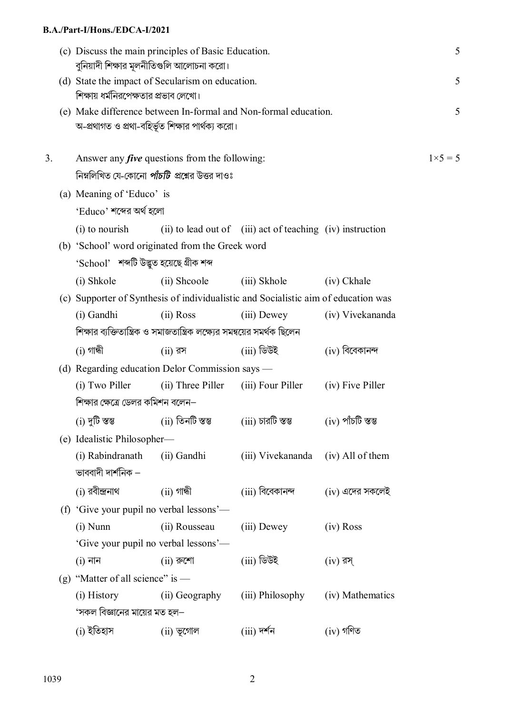#### **B.A./Part-I/Hons./EDCA-I/2021**

|    | (c) Discuss the main principles of Basic Education.<br>বুনিয়াদী শিক্ষার মূলনীতিগুলি আলোচনা করো। |                                                                                                                     |                   |                                                                              |                   | 5                |
|----|--------------------------------------------------------------------------------------------------|---------------------------------------------------------------------------------------------------------------------|-------------------|------------------------------------------------------------------------------|-------------------|------------------|
|    |                                                                                                  | (d) State the impact of Secularism on education.<br>শিক্ষায় ধর্মনিরপেক্ষতার প্রভাব লেখো।                           |                   |                                                                              |                   | 5                |
|    |                                                                                                  | (e) Make difference between In-formal and Non-formal education.<br>অ-প্রথাগত ও প্রথা-বহির্ভূত শিক্ষার পার্থক্য করো। |                   |                                                                              |                   | 5                |
| 3. |                                                                                                  | Answer any <i>five</i> questions from the following:                                                                |                   |                                                                              |                   | $1 \times 5 = 5$ |
|    |                                                                                                  | নিম্নলিখিত যে-কোনো <i>পাঁচটি প্র</i> শ্নের উত্তর দাওঃ                                                               |                   |                                                                              |                   |                  |
|    |                                                                                                  | (a) Meaning of 'Educo' is                                                                                           |                   |                                                                              |                   |                  |
|    |                                                                                                  | 'Educo' শব্দের অর্থ হলো                                                                                             |                   |                                                                              |                   |                  |
|    |                                                                                                  | (i) to nourish                                                                                                      |                   | (ii) to lead out of (iii) act of teaching (iv) instruction                   |                   |                  |
|    |                                                                                                  | (b) 'School' word originated from the Greek word                                                                    |                   |                                                                              |                   |                  |
|    |                                                                                                  | 'School' শব্দটি উদ্ভুত হয়েছে গ্ৰীক শব্দ                                                                            |                   |                                                                              |                   |                  |
|    |                                                                                                  | (i) Shkole                                                                                                          | (ii) Shcoole      | (iii) Skhole                                                                 | (iv) Ckhale       |                  |
|    |                                                                                                  | (c) Supporter of Synthesis of individualistic and Socialistic aim of education was                                  |                   |                                                                              |                   |                  |
|    |                                                                                                  | (i) Gandhi                                                                                                          | $(ii)$ Ross       | $(iii)$ Dewey                                                                | (iv) Vivekananda  |                  |
|    |                                                                                                  | শিক্ষার ব্যক্তিতান্ত্রিক ও সমাজতান্ত্রিক লক্ষ্যের সময্বর সমর্থক ছিলেন                                               |                   |                                                                              |                   |                  |
|    |                                                                                                  | $(i)$ গান্ধী                                                                                                        | $(ii)$ রস         | (iii) ডিউই                                                                   | $(iv)$ বিবেকানন্দ |                  |
|    |                                                                                                  | (d) Regarding education Delor Commission says —                                                                     |                   |                                                                              |                   |                  |
|    |                                                                                                  | (i) Two Piller                                                                                                      | (ii) Three Piller | (iii) Four Piller                                                            | (iv) Five Piller  |                  |
|    |                                                                                                  | শিক্ষার ক্ষেত্রে ডেলর কমিশন বলেন–                                                                                   |                   |                                                                              |                   |                  |
|    |                                                                                                  | (i) দুটি স্তম্ভ                                                                                                     |                   | (ii) তিনটি স্তম্ভ           (iii) চারটি স্তম্ভ            (iv) পাঁচটি স্তম্ভ |                   |                  |
|    |                                                                                                  | (e) Idealistic Philosopher-                                                                                         |                   |                                                                              |                   |                  |
|    |                                                                                                  | (i) Rabindranath<br>ভাববাদী দার্শনিক $-$                                                                            | (ii) Gandhi       | (iii) Vivekananda (iv) All of them                                           |                   |                  |
|    |                                                                                                  | (i) রবীন্দ্রনাথ                                                                                                     | (ii) গান্ধী       | (iii) বিবেকানন্দ                                                             | (iv) এদের সকলেই   |                  |
|    |                                                                                                  | (f) 'Give your pupil no verbal lessons'—                                                                            |                   |                                                                              |                   |                  |
|    |                                                                                                  | $(i)$ Nunn                                                                                                          | (ii) Rousseau     | (iii) Dewey                                                                  | $(iv)$ Ross       |                  |
|    |                                                                                                  | 'Give your pupil no verbal lessons'—                                                                                |                   |                                                                              |                   |                  |
|    |                                                                                                  | $(i)$ নান                                                                                                           | $(ii)$ রুশো       | (iii) ডিউই                                                                   | $(iv)$ রস্        |                  |
|    |                                                                                                  | (g) "Matter of all science" is $-$                                                                                  |                   |                                                                              |                   |                  |
|    |                                                                                                  | (i) History                                                                                                         | (ii) Geography    | (iii) Philosophy                                                             | (iv) Mathematics  |                  |
|    |                                                                                                  | 'সকল বিজ্ঞানের মায়ের মত হল–                                                                                        |                   |                                                                              |                   |                  |
|    |                                                                                                  | (i) ইতিহাস                                                                                                          | $(ii)$ ভূগোল      | $(iii)$ দর্শন                                                                | $(iv)$ গণিত       |                  |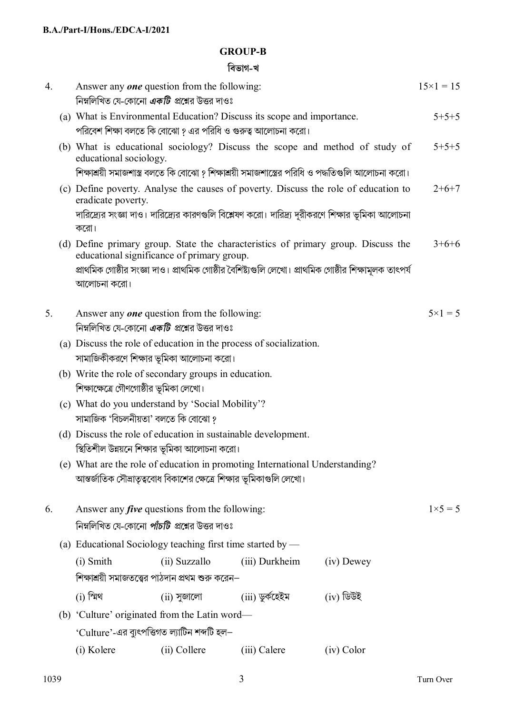### **GROUP-B**

## **িবভাগ-খ**

| 4. |                                                                                                                | Answer any <b>one</b> question from the following:<br>নিম্নলিখিত যে-কোনো <i>একটি প্র</i> শ্নের উত্তর দাওঃ                             |                                                       |                   |                                                                                                       | $15 \times 1 = 15$ |
|----|----------------------------------------------------------------------------------------------------------------|---------------------------------------------------------------------------------------------------------------------------------------|-------------------------------------------------------|-------------------|-------------------------------------------------------------------------------------------------------|--------------------|
|    |                                                                                                                | (a) What is Environmental Education? Discuss its scope and importance.<br>পরিবেশ শিক্ষা বলতে কি বোঝো ? এর পরিধি ও গুরুত্ব আলোচনা করো। |                                                       |                   |                                                                                                       | $5+5+5$            |
|    |                                                                                                                | educational sociology.                                                                                                                |                                                       |                   | (b) What is educational sociology? Discuss the scope and method of study of                           | $5 + 5 + 5$        |
|    |                                                                                                                | শিক্ষাশ্রয়ী সমাজশাস্ত্র বলতে কি বোঝো ? শিক্ষাশ্রয়ী সমাজশাস্ত্রের পরিধি ও পদ্ধতিগুলি আলোচনা করো।                                     |                                                       |                   |                                                                                                       |                    |
|    | (c) Define poverty. Analyse the causes of poverty. Discuss the role of education to<br>eradicate poverty.      |                                                                                                                                       |                                                       |                   | $2+6+7$                                                                                               |                    |
|    | দারিদ্র্যের সংজ্ঞা দাও। দারিদ্র্যের কারণগুলি বিশ্লেষণ করো। দারিদ্র্য দূরীকরণে শিক্ষার ভূমিকা আলোচনা<br>করো।    |                                                                                                                                       |                                                       |                   |                                                                                                       |                    |
|    |                                                                                                                | (d) Define primary group. State the characteristics of primary group. Discuss the<br>educational significance of primary group.       |                                                       |                   |                                                                                                       | $3+6+6$            |
|    |                                                                                                                | আলোচনা করো।                                                                                                                           |                                                       |                   | প্রাথমিক গোষ্ঠীর সংজ্ঞা দাও। প্রাথমিক গোষ্ঠীর বৈশিষ্ট্যগুলি লেখো। প্রাথমিক গোষ্ঠীর শিক্ষামূলক তাৎপর্য |                    |
| 5. |                                                                                                                | Answer any <b>one</b> question from the following:<br>নিম্নলিখিত যে-কোনো <i>একটি প্র</i> শ্নের উত্তর দাওঃ                             |                                                       |                   | $5 \times 1 = 5$                                                                                      |                    |
|    |                                                                                                                | (a) Discuss the role of education in the process of socialization.                                                                    |                                                       |                   |                                                                                                       |                    |
|    |                                                                                                                | সামাজিকীকরণে শিক্ষার ভূমিকা আলোচনা করো।                                                                                               |                                                       |                   |                                                                                                       |                    |
|    | (b) Write the role of secondary groups in education.                                                           |                                                                                                                                       |                                                       |                   |                                                                                                       |                    |
|    | শিক্ষাক্ষেত্রে গৌণগোষ্ঠীর ভূমিকা লেখো।                                                                         |                                                                                                                                       |                                                       |                   |                                                                                                       |                    |
|    |                                                                                                                | (c) What do you understand by 'Social Mobility'?<br>সামাজিক 'বিচলনীয়তা' বলতে কি বোঝো ?                                               |                                                       |                   |                                                                                                       |                    |
|    | (d) Discuss the role of education in sustainable development.<br>স্থিতিশীল উন্নয়নে শিক্ষার ভূমিকা আলোচনা করো। |                                                                                                                                       |                                                       |                   |                                                                                                       |                    |
|    |                                                                                                                | (e) What are the role of education in promoting International Understanding?                                                          |                                                       |                   |                                                                                                       |                    |
|    | আন্তর্জাতিক সৌভ্রাতৃত্ববোধ বিকাশের ক্ষেত্রে শিক্ষার ভূমিকাগুলি লেখো।                                           |                                                                                                                                       |                                                       |                   |                                                                                                       |                    |
| 6. |                                                                                                                | Answer any <i>five</i> questions from the following:<br>$1 \times 5 = 5$                                                              |                                                       |                   |                                                                                                       |                    |
|    |                                                                                                                |                                                                                                                                       | নিম্নলিখিত যে-কোনো <i>পাঁচটি প্র</i> শ্নের উত্তর দাওঃ |                   |                                                                                                       |                    |
|    |                                                                                                                | (a) Educational Sociology teaching first time started by —                                                                            |                                                       |                   |                                                                                                       |                    |
|    |                                                                                                                | (i) Smith                                                                                                                             | (ii) Suzzallo                                         | (iii) Durkheim    | (iv) Dewey                                                                                            |                    |
|    |                                                                                                                | শিক্ষাশ্রয়ী সমাজতত্ত্বের পাঠদান প্রথম শুরু করেন–                                                                                     |                                                       |                   |                                                                                                       |                    |
|    |                                                                                                                | $(i)$ স্মিথ                                                                                                                           | $(ii)$ সুজালো                                         | $(iii)$ ডুর্কহেইম | $(iv)$ ডিউই                                                                                           |                    |
|    |                                                                                                                | (b) 'Culture' originated from the Latin word—                                                                                         |                                                       |                   |                                                                                                       |                    |
|    |                                                                                                                | 'Culture'-এর ব্যুৎপত্তিগত ল্যাটিন শব্দটি হল $-$                                                                                       |                                                       |                   |                                                                                                       |                    |
|    |                                                                                                                | (i) Kolere                                                                                                                            | (ii) Collere                                          | (iii) Calere      | (iv) Color                                                                                            |                    |